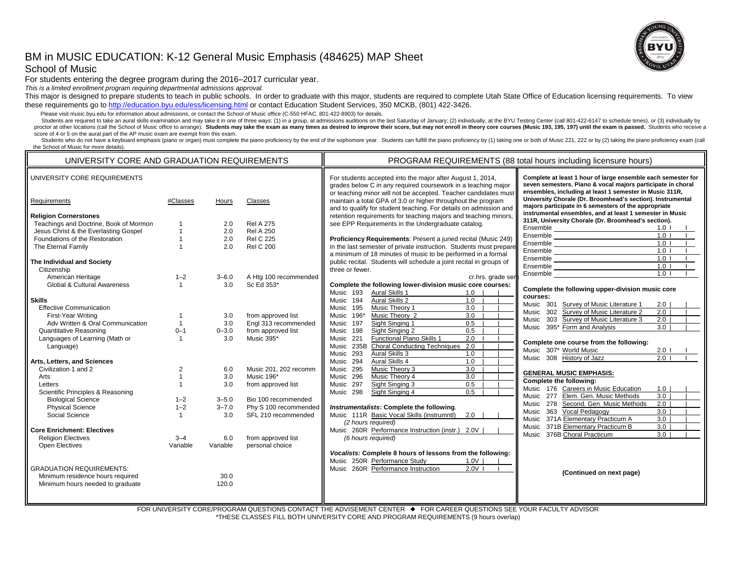# BM in MUSIC EDUCATION: K-12 General Music Emphasis (484625) MAP Sheet School of Music

For students entering the degree program during the 2016–2017 curricular year.

*This is a limited enrollment program requiring departmental admissions approval.*

This major is designed to prepare students to teach in public schools. In order to graduate with this major, students are required to complete Utah State Office of Education licensing requirements. To view these requirements go to http://education.byu.edu/ess/licensing.html or contact Education Student Services, 350 MCKB, (801) 422-3426.

Please visit music.byu.edu for information about admissions, or contact the School of Music office (C-550 HFAC, 801-422-8903) for details.

Students are required to take an aural skills examination and may take it in one of three ways: (1) in a group, at admissions auditions on the last Saturday of January; (2) individually, at the BYU Testing Center (call 801 proctor at other locations (call the School of Music office to arrange). Students may take the exam as many times as desired to improve their score, but may not enroll in theory core courses (Music 193, 195, 197) until the score of 4 or 5 on the aural part of the AP music exam are exempt from this exam.

Students who do not have a keyboard emphasis (piano or organ) must complete the piano proficiency by the end of the sophomore year. Students can fulfill the piano proficiency by (1) taking one or both of Music 221, 222 or the School of Music for more details).

| UNIVERSITY CORE AND GRADUATION REQUIREMENTS |                |           |                       | PROGRAM REQUIREMENTS (88 total hours including licensure hours)                                                                                                                                |                                                                                                                                                                                        |  |
|---------------------------------------------|----------------|-----------|-----------------------|------------------------------------------------------------------------------------------------------------------------------------------------------------------------------------------------|----------------------------------------------------------------------------------------------------------------------------------------------------------------------------------------|--|
| UNIVERSITY CORE REQUIREMENTS                |                |           |                       | For students accepted into the major after August 1, 2014,<br>grades below C in any required coursework in a teaching major<br>or teaching minor will not be accepted. Teacher candidates must | Complete at least 1 hour of large ensemble each semester for<br>seven semesters. Piano & vocal majors participate in choral<br>ensembles, including at least 1 semester in Music 311R, |  |
| Requirements                                | #Classes       | Hours     | Classes               | maintain a total GPA of 3.0 or higher throughout the program<br>and to qualify for student teaching. For details on admission and                                                              | University Chorale (Dr. Broomhead's section). Instrumental<br>majors participate in 6 semesters of the appropriate                                                                     |  |
| <b>Religion Cornerstones</b>                |                |           |                       | retention requirements for teaching majors and teaching minors,                                                                                                                                | instrumental ensembles, and at least 1 semester in Music                                                                                                                               |  |
| Teachings and Doctrine, Book of Mormon      | 1              | 2.0       | <b>Rel A 275</b>      | see EPP Requirements in the Undergraduate catalog.                                                                                                                                             | 311R, University Chorale (Dr. Broomhead's section).                                                                                                                                    |  |
| Jesus Christ & the Everlasting Gospel       | $\mathbf{1}$   | 2.0       | <b>Rel A 250</b>      |                                                                                                                                                                                                | Ensemble<br>Ensemble<br>1.0 <sub>l</sub>                                                                                                                                               |  |
| Foundations of the Restoration              | $\mathbf{1}$   | 2.0       | <b>Rel C 225</b>      | Proficiency Requirements: Present a juried recital (Music 249)                                                                                                                                 | $1.0$                                                                                                                                                                                  |  |
| The Eternal Family                          | $\mathbf{1}$   | 2.0       | <b>Rel C 200</b>      | in the last semester of private instruction. Students must prepare                                                                                                                             | 1.0 <sub>l</sub>                                                                                                                                                                       |  |
|                                             |                |           |                       | a minimum of 18 minutes of music to be performed in a formal                                                                                                                                   | Ensemble<br>Ensemble<br>Ensemble<br>Ensemble<br>1.0 <sub>1</sub>                                                                                                                       |  |
| The Individual and Society                  |                |           |                       | public recital. Students will schedule a joint recital in groups of                                                                                                                            | 1.01                                                                                                                                                                                   |  |
| Citizenship                                 |                |           |                       | three or fewer.                                                                                                                                                                                | Ensemble <u>Executive Contractor</u><br>1.0 <sub>1</sub>                                                                                                                               |  |
| American Heritage                           | $1 - 2$        | $3 - 6.0$ | A Htg 100 recommended | cr.hrs. grade se                                                                                                                                                                               | 1.01<br>Ensemble <b>Example</b>                                                                                                                                                        |  |
| Global & Cultural Awareness                 | $\mathbf{1}$   | 3.0       | Sc Ed 353*            | Complete the following lower-division music core courses:                                                                                                                                      |                                                                                                                                                                                        |  |
|                                             |                |           |                       | Aural Skills 1<br>Music 193<br>1.0                                                                                                                                                             | Complete the following upper-division music core                                                                                                                                       |  |
| <b>Skills</b>                               |                |           |                       | Aural Skills 2<br>1.0<br>Music 194                                                                                                                                                             | courses:                                                                                                                                                                               |  |
| <b>Effective Communication</b>              |                |           |                       | Music Theory 1<br>3.0<br>Music 195                                                                                                                                                             | Music 301 Survey of Music Literature 1<br>2.0                                                                                                                                          |  |
| First-Year Writing                          | $\mathbf{1}$   | 3.0       | from approved list    | Music 196*<br>Music Theory 2<br>$\overline{3.0}$                                                                                                                                               | Music 302 Survey of Music Literature 2<br>2.0                                                                                                                                          |  |
| Adv Written & Oral Communication            | $\mathbf{1}$   | 3.0       | Engl 313 recommended  | Sight Singing 1<br>0.5<br>Music 197                                                                                                                                                            | Music 303 Survey of Music Literature 3<br>2.0                                                                                                                                          |  |
| Quantitative Reasoning                      | $0 - 1$        | $0 - 3.0$ | from approved list    | 0.5<br>Sight Singing 2<br>Music 198                                                                                                                                                            | Music 395* Form and Analysis<br>3.0                                                                                                                                                    |  |
| Languages of Learning (Math or              | $\mathbf{1}$   | 3.0       | Music 395*            | Functional Piano Skills 1<br>2.0<br>Music 221                                                                                                                                                  |                                                                                                                                                                                        |  |
| Language)                                   |                |           |                       | Music 235B<br><b>Choral Conducting Techniques</b><br>2.0                                                                                                                                       | Complete one course from the following:                                                                                                                                                |  |
|                                             |                |           |                       | Music 293<br>Aural Skills 3<br>1.0                                                                                                                                                             | Music 307* World Music<br>$2.0$ l                                                                                                                                                      |  |
| Arts, Letters, and Sciences                 |                |           |                       | Aural Skills 4<br>1.0<br>Music 294                                                                                                                                                             | Music 308 History of Jazz<br>$2.0$                                                                                                                                                     |  |
| Civilization 1 and 2                        | $\overline{2}$ | 6.0       | Music 201, 202 recomm | Music Theory 3<br>3.0<br>Music 295                                                                                                                                                             |                                                                                                                                                                                        |  |
| Arts                                        | $\overline{1}$ | 3.0       | Music 196*            | Music Theory 4<br>Music 296<br>3.0                                                                                                                                                             | <b>GENERAL MUSIC EMPHASIS:</b>                                                                                                                                                         |  |
| Letters                                     | $\mathbf{1}$   | 3.0       | from approved list    | Sight Singing 3<br>0.5<br>Music 297                                                                                                                                                            | Complete the following:                                                                                                                                                                |  |
| Scientific Principles & Reasoning           |                |           |                       | Sight Singing 4<br>0.5<br>Music 298                                                                                                                                                            | Music 176 Careers in Music Education<br>1.0                                                                                                                                            |  |
| <b>Biological Science</b>                   | $1 - 2$        | $3 - 5.0$ | Bio 100 recommended   |                                                                                                                                                                                                | Elem. Gen. Music Methods<br>$\overline{3.0}$<br>Music 277                                                                                                                              |  |
| <b>Physical Science</b>                     | $1 - 2$        | $3 - 7.0$ | Phy S 100 recommended | Instrumentalists: Complete the following.                                                                                                                                                      | Music 278 Second. Gen. Music Methods<br>2.0                                                                                                                                            |  |
| Social Science                              | $\mathbf{1}$   | 3.0       | SFL 210 recommended   | Music 111R Basic Vocal Skills (instrumntl)<br>2.0                                                                                                                                              | 363 Vocal Pedagogy<br>3.0<br>Music                                                                                                                                                     |  |
|                                             |                |           |                       | (2 hours required)                                                                                                                                                                             | Music 371A Elementary Practicum A<br>$\overline{3.0}$                                                                                                                                  |  |
| <b>Core Enrichment: Electives</b>           |                |           |                       | Music 260R Performance Instruction (instr.) 2.0V                                                                                                                                               | Music 371B Elementary Practicum B<br>3.0                                                                                                                                               |  |
| <b>Religion Electives</b>                   | $3 - 4$        | 6.0       | from approved list    | (6 hours required)                                                                                                                                                                             | Music 376B Choral Practicum<br>$\overline{3.0}$                                                                                                                                        |  |
| Open Electives                              | Variable       | Variable  | personal choice       |                                                                                                                                                                                                |                                                                                                                                                                                        |  |
|                                             |                |           |                       | Vocalists: Complete 8 hours of lessons from the following:                                                                                                                                     |                                                                                                                                                                                        |  |
|                                             |                |           |                       | Music 250R Performance Study<br>1.0V                                                                                                                                                           |                                                                                                                                                                                        |  |
| <b>GRADUATION REQUIREMENTS:</b>             |                |           |                       | Music 260R Performance Instruction<br>$2.0V$ I                                                                                                                                                 |                                                                                                                                                                                        |  |
| Minimum residence hours required            |                | 30.0      |                       |                                                                                                                                                                                                | (Continued on next page)                                                                                                                                                               |  |
| Minimum hours needed to graduate            |                | 120.0     |                       |                                                                                                                                                                                                |                                                                                                                                                                                        |  |
|                                             |                |           |                       |                                                                                                                                                                                                |                                                                                                                                                                                        |  |
|                                             |                |           |                       |                                                                                                                                                                                                |                                                                                                                                                                                        |  |

FOR UNIVERSITY CORE/PROGRAM QUESTIONS CONTACT THE ADVISEMENT CENTER ♦ FOR CAREER QUESTIONS SEE YOUR FACULTY ADVISOR \*THESE CLASSES FILL BOTH UNIVERSITY CORE AND PROGRAM REQUIREMENTS (9 hours overlap)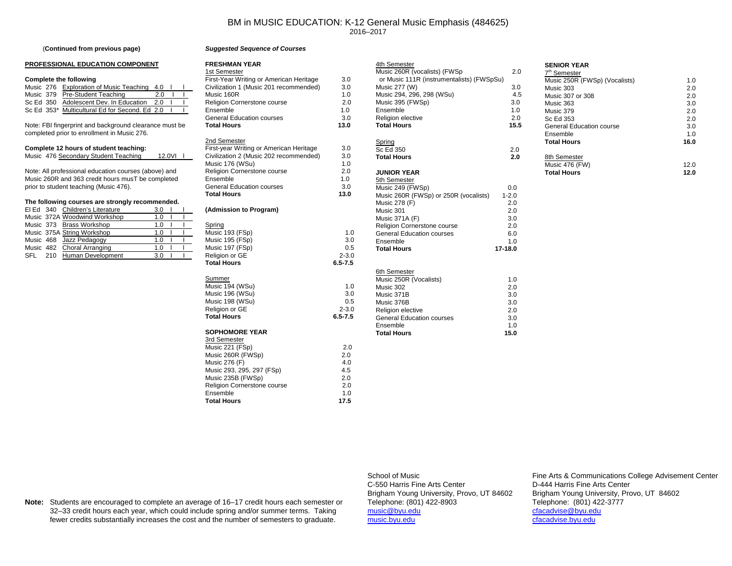### BM in MUSIC EDUCATION: K-12 General Music Emphasis (484625) 2016–2017

#### (**Continued from previous page)**

#### **PROFESSIONAL EDUCATION COMPONENT**

#### **Complete the following**

|  | Music 276 Exploration of Music Teaching 4.0    |      |  |  |
|--|------------------------------------------------|------|--|--|
|  | Music 379 Pre-Student Teaching                 | 20   |  |  |
|  | Sc Ed 350 Adolescent Dev. In Education         | - 20 |  |  |
|  | Sc Ed 353* Multicultural Ed for Second, Ed 2.0 |      |  |  |
|  |                                                |      |  |  |

Note: FBI fingerprint and background clearance must be completed prior to enrollment in Music 276.

|  |  | Complete 12 hours of student teaching: |  |
|--|--|----------------------------------------|--|
|--|--|----------------------------------------|--|

Music 476 Secondary Student Teaching 12.0VI l

Note: All professional education courses (above) and Music 260R and 363 credit hours musT be completed prior to student teaching (Music 476).

#### **The following courses are strongly recommended.**

|  | El Ed 340 Children's Literature | 3.0 |  |  |
|--|---------------------------------|-----|--|--|
|  | Music 372A Woodwind Workshop    | 1.0 |  |  |
|  | Music 373 Brass Workshop        | 1.O |  |  |
|  | Music 375A String Workshop      | 1 በ |  |  |
|  | Music 468 Jazz Pedagogy         | 1 በ |  |  |
|  | Music 482 Choral Arranging      | 1 በ |  |  |
|  | SFL 210 Human Development       | 3.0 |  |  |
|  |                                 |     |  |  |

| First-Year Writing or American Heritage<br>Civilization 1 (Music 201 recommended)<br>Music 160R<br>Religion Cornerstone course<br>Ensemble<br><b>General Education courses</b><br>Total Hours                             | 3.0<br>3.0<br>1.0<br>2.0<br>1.0<br>3.0<br>13.0 |
|---------------------------------------------------------------------------------------------------------------------------------------------------------------------------------------------------------------------------|------------------------------------------------|
| 2nd Semester<br>First-year Writing or American Heritage<br>Civilization 2 (Music 202 recommended)<br>Music 176 (WSu)<br>Religion Cornerstone course<br>Ensemble<br><b>General Education courses</b><br><b>Total Hours</b> | 3.0<br>3.0<br>1.0<br>2.0<br>1.0<br>3.0<br>13.0 |
| (Admission to Program)                                                                                                                                                                                                    |                                                |
| Spring<br>Music 193 (FSp)<br>Music 195 (FSp)<br>Music 197 (FSp)<br>Religion or GE<br><b>Total Hours</b>                                                                                                                   | 1.0<br>3.0<br>0.5<br>$2 - 3.0$<br>$6.5 - 7.5$  |
| Summer<br>Music 194 (WSu)<br>Music 196 (WSu)<br>Music 198 (WSu)<br>Religion or GE<br><b>Total Hours</b>                                                                                                                   | 1.0<br>3.0<br>0.5<br>$2 - 3.0$<br>$6.5 - 7.5$  |
| <b>SOPHOMORE YEAR</b><br>3rd Semester<br>Music 221 (FSp)<br>Music 260R (FWSp)<br>Music 276 (F)<br>Music 293, 295, 297 (FSp)<br>Music 235B (FWSp)<br>Religion Cornerstone course<br>Ensemble                               | 2.0<br>2.0<br>4.0<br>4.5<br>2.0<br>2.0<br>1.0  |

17.5

*Suggested Sequence of Courses*

**FRESHMAN YEAR**1st Semester

| 4th Semester                              |           | <b>SENIOR YEAR</b>              |      |
|-------------------------------------------|-----------|---------------------------------|------|
| Music 260R (vocalists) (FWSp              | 2.0       | 7 <sup>th</sup> Semester        |      |
| or Music 111R (instrumentalists) (FWSpSu) |           | Music 250R (FWSp) (Vocalists)   | 1.0  |
| Music 277 (W)                             | 3.0       | Music 303                       | 2.0  |
| Music 294, 296, 298 (WSu)                 | 4.5       | Music 307 or 308                | 2.0  |
| Music 395 (FWSp)                          | 3.0       | Music 363                       | 3.0  |
| Ensemble                                  | 1.0       | Music 379                       | 2.0  |
| <b>Religion elective</b>                  | 2.0       | Sc Ed 353                       | 2.0  |
| <b>Total Hours</b>                        | 15.5      | <b>General Education course</b> | 3.0  |
|                                           |           | Ensemble                        | 1.0  |
| Spring                                    |           | <b>Total Hours</b>              | 16.0 |
| Sc Ed 350                                 | 2.0       |                                 |      |
| <b>Total Hours</b>                        | 2.0       | 8th Semester                    |      |
|                                           |           | Music 476 (FW)                  | 12.0 |
| <b>JUNIOR YEAR</b>                        |           | <b>Total Hours</b>              | 12.0 |
| 5th Semester                              |           |                                 |      |
| Music 249 (FWSp)                          | 0.0       |                                 |      |
| Music 260R (FWSp) or 250R (vocalists)     | $1 - 2.0$ |                                 |      |
| Music 278 (F)                             | 2.0       |                                 |      |
| Music 301                                 | 2.0       |                                 |      |
| <b>Music 371A (F)</b>                     | 3.0       |                                 |      |
| Religion Cornerstone course               | 2.0       |                                 |      |
| <b>General Education courses</b>          | 6.0       |                                 |      |
| Ensemble                                  | 1.0       |                                 |      |
| <b>Total Hours</b>                        | 17-18.0   |                                 |      |
|                                           |           |                                 |      |
|                                           |           |                                 |      |
| 6th Semester                              |           |                                 |      |
| Music 250R (Vocalists)                    | 1.0       |                                 |      |
| Music 302                                 | 2.0       |                                 |      |
| Music 371B                                | 3.0       |                                 |      |
| Music 376B                                | 3.0       |                                 |      |
| <b>Religion elective</b>                  | 2.0       |                                 |      |
| <b>General Education courses</b>          | 3.0       |                                 |      |
| Ensemble                                  | 1.0       |                                 |      |
| <b>Total Hours</b>                        | 15.0      |                                 |      |
|                                           |           |                                 |      |
|                                           |           |                                 |      |

C-550 Harris Fine Arts Center D-444 Harris Fine Arts CenterTelephone: (801) 422-8903 Telephone: (801) 422-3777 music@byu.edu cfacadvise@byu.edu

School of Music Fine Arts & Communications College Advisement Center Brigham Young University, Provo, UT 84602 Brigham Young University, Provo, UT 84602 cfacadvise.byu.edu

**Note:** Students are encouraged to complete an average of 16–17 credit hours each semester or 32–33 credit hours each year, which could include spring and/or summer terms. Taking fewer credits substantially increases the cost and the number of semesters to graduate.

**Total Hours**